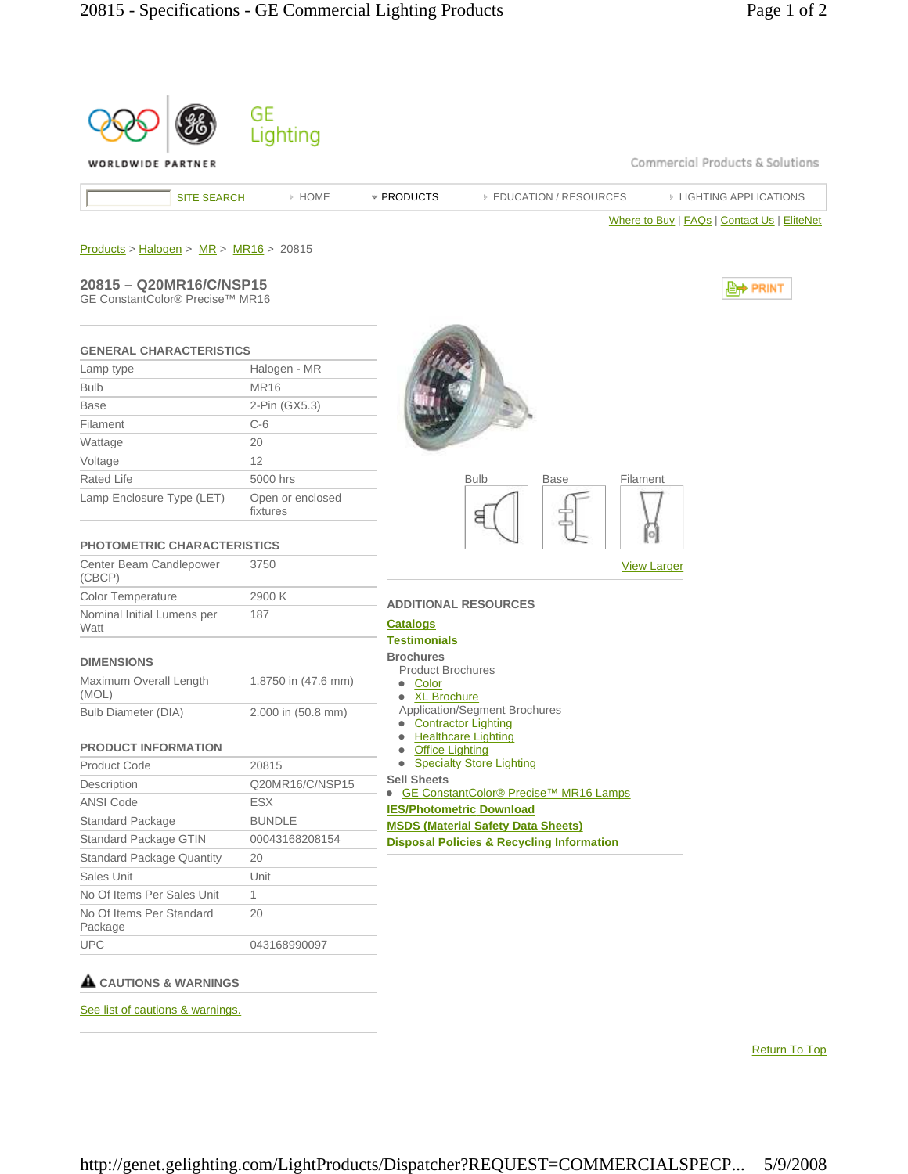| WORLDWIDE PARTNER                                          |                              |                                                                   |                                                      | Commercial Products & Solutions             |
|------------------------------------------------------------|------------------------------|-------------------------------------------------------------------|------------------------------------------------------|---------------------------------------------|
| <b>SITE SEARCH</b>                                         | > HOME                       | * PRODUCTS                                                        | <b>EDUCATION / RESOURCES</b>                         | <b>EIGHTING APPLICATIONS</b>                |
|                                                            |                              |                                                                   |                                                      | Where to Buy   FAQs   Contact Us   EliteNet |
| $Products > Halogen > MR > MR16 > 20815$                   |                              |                                                                   |                                                      |                                             |
|                                                            |                              |                                                                   |                                                      |                                             |
| 20815 - Q20MR16/C/NSP15<br>GE ConstantColor® Precise™ MR16 |                              |                                                                   |                                                      | <b>Lett</b> PRINT                           |
|                                                            |                              |                                                                   |                                                      |                                             |
| <b>GENERAL CHARACTERISTICS</b>                             |                              |                                                                   |                                                      |                                             |
| Lamp type                                                  | Halogen - MR                 |                                                                   |                                                      |                                             |
| <b>Bulb</b>                                                | <b>MR16</b>                  |                                                                   |                                                      |                                             |
| <b>Base</b>                                                | 2-Pin (GX5.3)                |                                                                   |                                                      |                                             |
| Filament                                                   | $C-6$                        |                                                                   |                                                      |                                             |
| Wattage                                                    | 20                           |                                                                   |                                                      |                                             |
| Voltage                                                    | 12                           |                                                                   |                                                      |                                             |
| <b>Rated Life</b>                                          | 5000 hrs                     | <b>Bulb</b>                                                       | Base                                                 | Filament                                    |
| Lamp Enclosure Type (LET)                                  | Open or enclosed<br>fixtures |                                                                   |                                                      |                                             |
| <b>PHOTOMETRIC CHARACTERISTICS</b>                         |                              |                                                                   |                                                      |                                             |
| Center Beam Candlepower<br>(CBCP)                          | 3750                         |                                                                   |                                                      | <b>View Larger</b>                          |
| <b>Color Temperature</b>                                   | 2900 K                       | <b>ADDITIONAL RESOURCES</b>                                       |                                                      |                                             |
| Nominal Initial Lumens per<br>Watt                         | 187                          | <b>Catalogs</b>                                                   |                                                      |                                             |
|                                                            |                              | <b>Testimonials</b><br><b>Brochures</b>                           |                                                      |                                             |
| <b>DIMENSIONS</b>                                          |                              | <b>Product Brochures</b>                                          |                                                      |                                             |
| Maximum Overall Length<br>(MOL)                            | 1.8750 in (47.6 mm)          | • Color<br>• XL Brochure                                          |                                                      |                                             |
| <b>Bulb Diameter (DIA)</b>                                 | 2.000 in (50.8 mm)           | Application/Segment Brochures<br><b>Contractor Lighting</b>       |                                                      |                                             |
| <b>PRODUCT INFORMATION</b>                                 |                              | <b>Healthcare Lighting</b><br>$\bullet$<br><b>Office Lighting</b> |                                                      |                                             |
| <b>Product Code</b>                                        | 20815                        | • Specialty Store Lighting                                        |                                                      |                                             |
| Description                                                | Q20MR16/C/NSP15              | <b>Sell Sheets</b><br>$\bullet$                                   | GE ConstantColor® Precise™ MR16 Lamps                |                                             |
| <b>ANSI Code</b>                                           | ESX                          | <b>IES/Photometric Download</b>                                   |                                                      |                                             |
| Standard Package                                           | <b>BUNDLE</b>                |                                                                   | <b>MSDS (Material Safety Data Sheets)</b>            |                                             |
| Standard Package GTIN                                      | 00043168208154               |                                                                   | <b>Disposal Policies &amp; Recycling Information</b> |                                             |
| <b>Standard Package Quantity</b>                           | 20                           |                                                                   |                                                      |                                             |
| Sales Unit                                                 | Unit                         |                                                                   |                                                      |                                             |
| No Of Items Per Sales Unit                                 | 1                            |                                                                   |                                                      |                                             |
| No Of Items Per Standard<br>Package                        | 20                           |                                                                   |                                                      |                                             |
| <b>UPC</b>                                                 |                              |                                                                   |                                                      |                                             |

Return To Top